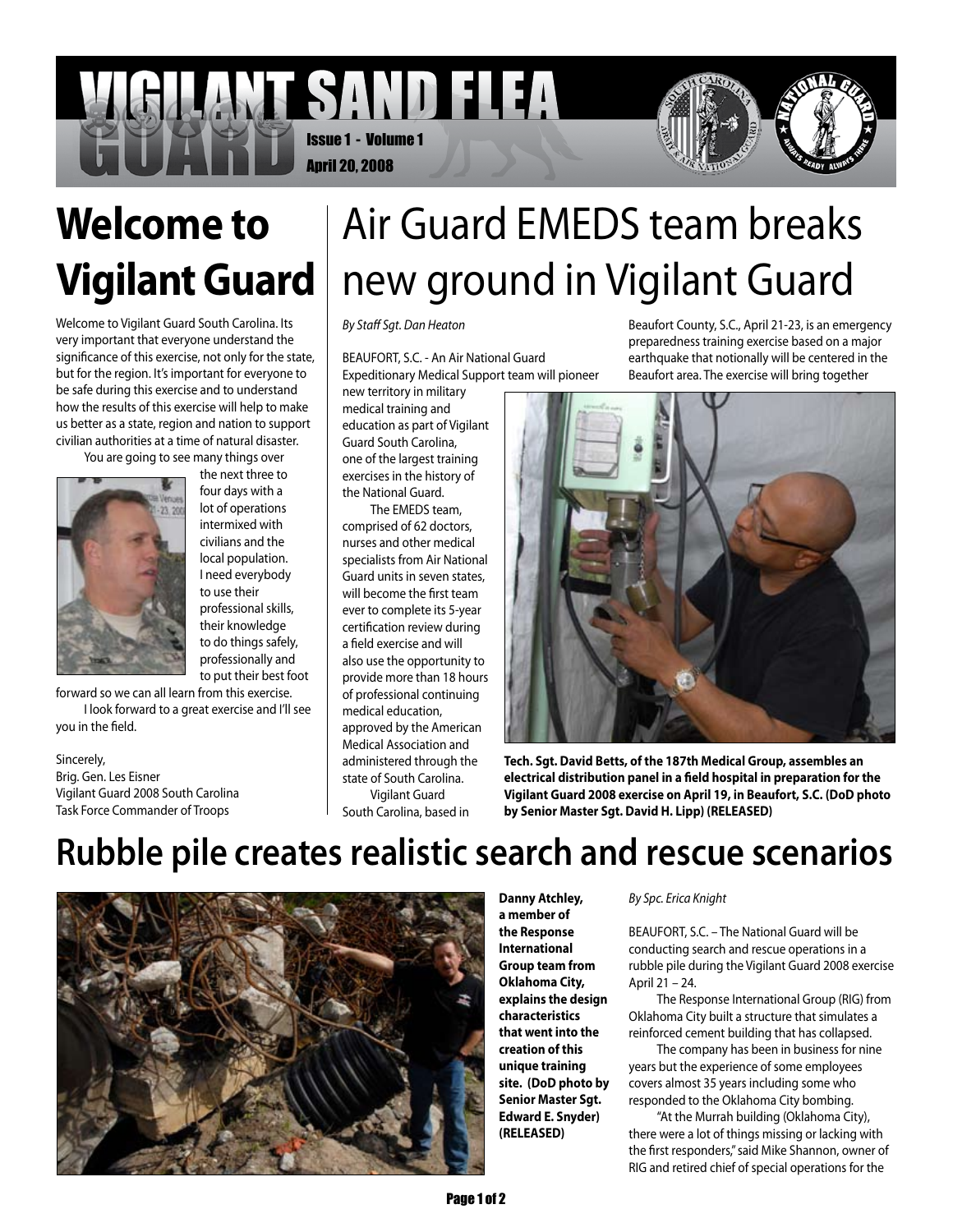### SAND FLEA Issue 1 - Volume 1 April 20, 2008



# **Welcome to Vigilant Guard**

Welcome to Vigilant Guard South Carolina. Its very important that everyone understand the significance of this exercise, not only for the state, but for the region. It's important for everyone to be safe during this exercise and to understand how the results of this exercise will help to make us better as a state, region and nation to support civilian authorities at a time of natural disaster.

You are going to see many things over



the next three to four days with a lot of operations intermixed with civilians and the local population. I need everybody to use their professional skills, their knowledge to do things safely, professionally and to put their best foot

forward so we can all learn from this exercise. I look forward to a great exercise and I'll see you in the field.

Sincerely, Brig. Gen. Les Eisner Vigilant Guard 2008 South Carolina Task Force Commander of Troops

# Air Guard EMEDS team breaks new ground in Vigilant Guard

*By Staff Sgt. Dan Heaton*

BEAUFORT, S.C. - An Air National Guard Expeditionary Medical Support team will pioneer

new territory in military medical training and education as part of Vigilant Guard South Carolina, one of the largest training exercises in the history of the National Guard.

The EMEDS team, comprised of 62 doctors, nurses and other medical specialists from Air National Guard units in seven states, will become the first team ever to complete its 5-year certification review during a field exercise and will also use the opportunity to provide more than 18 hours of professional continuing medical education, approved by the American Medical Association and administered through the state of South Carolina. Vigilant Guard

South Carolina, based in

Beaufort County, S.C., April 21-23, is an emergency preparedness training exercise based on a major earthquake that notionally will be centered in the Beaufort area. The exercise will bring together



**Tech. Sgt. David Betts, of the 187th Medical Group, assembles an electrical distribution panel in a field hospital in preparation for the Vigilant Guard 2008 exercise on April 19, in Beaufort, S.C. (DoD photo by Senior Master Sgt. David H. Lipp) (RELEASED)** 

## **Rubble pile creates realistic search and rescue scenarios**



**Danny Atchley, a member of the Response International Group team from Oklahoma City, explains the design characteristics that went into the creation of this unique training site. (DoD photo by Senior Master Sgt. Edward E. Snyder) (RELEASED)**

#### *By Spc. Erica Knight*

BEAUFORT, S.C. – The National Guard will be conducting search and rescue operations in a rubble pile during the Vigilant Guard 2008 exercise April 21 – 24.

The Response International Group (RIG) from Oklahoma City built a structure that simulates a reinforced cement building that has collapsed.

The company has been in business for nine years but the experience of some employees covers almost 35 years including some who responded to the Oklahoma City bombing.

"At the Murrah building (Oklahoma City), there were a lot of things missing or lacking with the first responders," said Mike Shannon, owner of RIG and retired chief of special operations for the